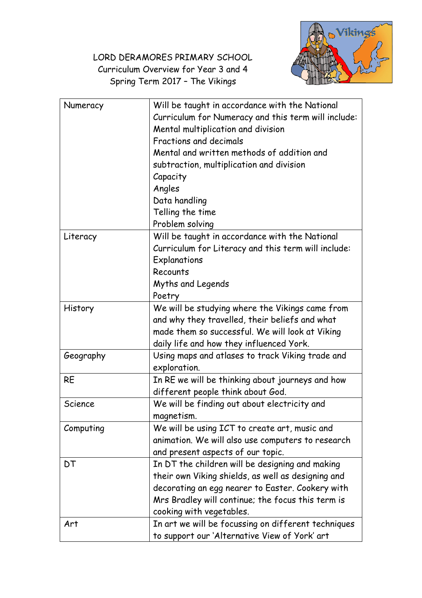LORD DERAMORES PRIMARY SCHOOL Curriculum Overview for Year 3 and 4 Spring Term 2017 – The Vikings



| Numeracy  | Will be taught in accordance with the National<br>Curriculum for Numeracy and this term will include:<br>Mental multiplication and division<br>Fractions and decimals<br>Mental and written methods of addition and<br>subtraction, multiplication and division<br>Capacity<br>Angles<br>Data handling<br>Telling the time<br>Problem solving |
|-----------|-----------------------------------------------------------------------------------------------------------------------------------------------------------------------------------------------------------------------------------------------------------------------------------------------------------------------------------------------|
| Literacy  | Will be taught in accordance with the National<br>Curriculum for Literacy and this term will include:<br>Explanations<br>Recounts<br>Myths and Legends<br>Poetry                                                                                                                                                                              |
| History   | We will be studying where the Vikings came from<br>and why they travelled, their beliefs and what<br>made them so successful. We will look at Viking<br>daily life and how they influenced York.                                                                                                                                              |
| Geography | Using maps and atlases to track Viking trade and<br>exploration.                                                                                                                                                                                                                                                                              |
| <b>RE</b> | In RE we will be thinking about journeys and how<br>different people think about God.                                                                                                                                                                                                                                                         |
| Science   | We will be finding out about electricity and<br>magnetism.                                                                                                                                                                                                                                                                                    |
| Computing | We will be using ICT to create art, music and<br>animation. We will also use computers to research<br>and present aspects of our topic.                                                                                                                                                                                                       |
| DT        | In DT the children will be designing and making<br>their own Viking shields, as well as designing and<br>decorating an egg nearer to Easter. Cookery with<br>Mrs Bradley will continue; the focus this term is<br>cooking with vegetables.                                                                                                    |
| Art       | In art we will be focussing on different techniques<br>to support our 'Alternative View of York' art                                                                                                                                                                                                                                          |